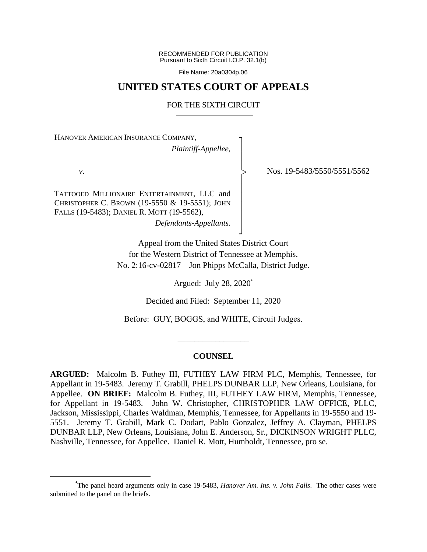RECOMMENDED FOR PUBLICATION Pursuant to Sixth Circuit I.O.P. 32.1(b)

File Name: 20a0304p.06

## **UNITED STATES COURT OF APPEALS**

#### FOR THE SIXTH CIRCUIT

┐ │ │ │ │ │ │ │ │ │ ┘

|<br>|<br>|

HANOVER AMERICAN INSURANCE COMPANY,

*Plaintiff-Appellee*,

*v*.

TATTOOED MILLIONAIRE ENTERTAINMENT, LLC and CHRISTOPHER C. BROWN (19-5550 & 19-5551); JOHN FALLS (19-5483); DANIEL R. MOTT (19-5562),

*Defendants-Appellants*.

Nos. 19-5483/5550/5551/5562

Appeal from the United States District Court for the Western District of Tennessee at Memphis. No. 2:16-cv-02817—Jon Phipps McCalla, District Judge.

Argued: July 28, 2020\*

Decided and Filed: September 11, 2020

Before: GUY, BOGGS, and WHITE, Circuit Judges.

## **COUNSEL**

\_\_\_\_\_\_\_\_\_\_\_\_\_\_\_\_\_

**ARGUED:** Malcolm B. Futhey III, FUTHEY LAW FIRM PLC, Memphis, Tennessee, for Appellant in 19-5483. Jeremy T. Grabill, PHELPS DUNBAR LLP, New Orleans, Louisiana, for Appellee. **ON BRIEF:** Malcolm B. Futhey, III, FUTHEY LAW FIRM, Memphis, Tennessee, for Appellant in 19-5483. John W. Christopher, CHRISTOPHER LAW OFFICE, PLLC, Jackson, Mississippi, Charles Waldman, Memphis, Tennessee, for Appellants in 19-5550 and 19- 5551. Jeremy T. Grabill, Mark C. Dodart, Pablo Gonzalez, Jeffrey A. Clayman, PHELPS DUNBAR LLP, New Orleans, Louisiana, John E. Anderson, Sr., DICKINSON WRIGHT PLLC, Nashville, Tennessee, for Appellee. Daniel R. Mott, Humboldt, Tennessee, pro se.

**<sup>\*</sup>**The panel heard arguments only in case 19-5483, *Hanover Am. Ins. v. John Falls*. The other cases were submitted to the panel on the briefs.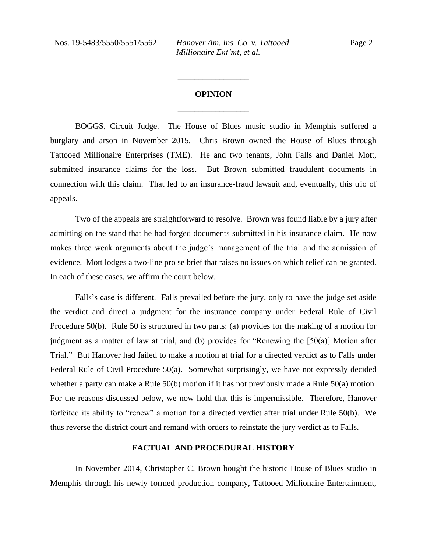# **OPINION** \_\_\_\_\_\_\_\_\_\_\_\_\_\_\_\_\_

\_\_\_\_\_\_\_\_\_\_\_\_\_\_\_\_\_

BOGGS, Circuit Judge. The House of Blues music studio in Memphis suffered a burglary and arson in November 2015. Chris Brown owned the House of Blues through Tattooed Millionaire Enterprises (TME). He and two tenants, John Falls and Daniel Mott, submitted insurance claims for the loss. But Brown submitted fraudulent documents in connection with this claim. That led to an insurance-fraud lawsuit and, eventually, this trio of appeals.

Two of the appeals are straightforward to resolve. Brown was found liable by a jury after admitting on the stand that he had forged documents submitted in his insurance claim. He now makes three weak arguments about the judge's management of the trial and the admission of evidence. Mott lodges a two-line pro se brief that raises no issues on which relief can be granted. In each of these cases, we affirm the court below.

Falls's case is different. Falls prevailed before the jury, only to have the judge set aside the verdict and direct a judgment for the insurance company under Federal Rule of Civil Procedure 50(b). Rule 50 is structured in two parts: (a) provides for the making of a motion for judgment as a matter of law at trial, and (b) provides for "Renewing the [50(a)] Motion after Trial." But Hanover had failed to make a motion at trial for a directed verdict as to Falls under Federal Rule of Civil Procedure 50(a). Somewhat surprisingly, we have not expressly decided whether a party can make a Rule 50(b) motion if it has not previously made a Rule 50(a) motion. For the reasons discussed below, we now hold that this is impermissible. Therefore, Hanover forfeited its ability to "renew" a motion for a directed verdict after trial under Rule 50(b). We thus reverse the district court and remand with orders to reinstate the jury verdict as to Falls.

#### **FACTUAL AND PROCEDURAL HISTORY**

In November 2014, Christopher C. Brown bought the historic House of Blues studio in Memphis through his newly formed production company, Tattooed Millionaire Entertainment,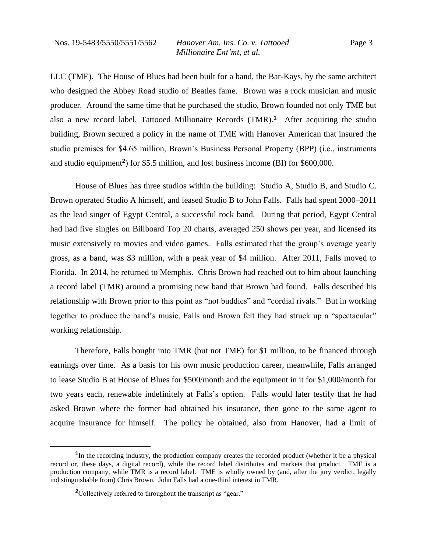LLC (TME). The House of Blues had been built for a band, the Bar-Kays, by the same architect who designed the Abbey Road studio of Beatles fame. Brown was a rock musician and music producer. Around the same time that he purchased the studio, Brown founded not only TME but also a new record label, Tattooed Millionaire Records (TMR).**<sup>1</sup>** After acquiring the studio building, Brown secured a policy in the name of TME with Hanover American that insured the studio premises for \$4.65 million, Brown's Business Personal Property (BPP) (i.e., instruments and studio equipment**<sup>2</sup>** ) for \$5.5 million, and lost business income (BI) for \$600,000.

House of Blues has three studios within the building: Studio A, Studio B, and Studio C. Brown operated Studio A himself, and leased Studio B to John Falls. Falls had spent 2000–2011 as the lead singer of Egypt Central, a successful rock band. During that period, Egypt Central had had five singles on Billboard Top 20 charts, averaged 250 shows per year, and licensed its music extensively to movies and video games. Falls estimated that the group's average yearly gross, as a band, was \$3 million, with a peak year of \$4 million. After 2011, Falls moved to Florida. In 2014, he returned to Memphis. Chris Brown had reached out to him about launching a record label (TMR) around a promising new band that Brown had found. Falls described his relationship with Brown prior to this point as "not buddies" and "cordial rivals." But in working together to produce the band's music, Falls and Brown felt they had struck up a "spectacular" working relationship.

Therefore, Falls bought into TMR (but not TME) for \$1 million, to be financed through earnings over time. As a basis for his own music production career, meanwhile, Falls arranged to lease Studio B at House of Blues for \$500/month and the equipment in it for \$1,000/month for two years each, renewable indefinitely at Falls's option. Falls would later testify that he had asked Brown where the former had obtained his insurance, then gone to the same agent to acquire insurance for himself. The policy he obtained, also from Hanover, had a limit of

<sup>&</sup>lt;sup>1</sup>In the recording industry, the production company creates the recorded product (whether it be a physical record or, these days, a digital record), while the record label distributes and markets that product. TME is a production company, while TMR is a record label. TME is wholly owned by (and, after the jury verdict, legally indistinguishable from) Chris Brown. John Falls had a one-third interest in TMR.

**<sup>2</sup>**Collectively referred to throughout the transcript as "gear."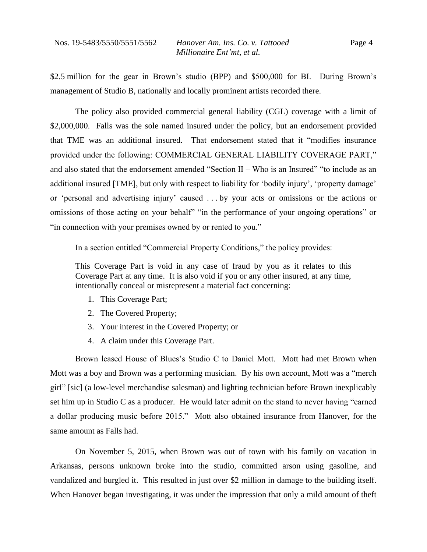\$2.5 million for the gear in Brown's studio (BPP) and \$500,000 for BI. During Brown's management of Studio B, nationally and locally prominent artists recorded there.

The policy also provided commercial general liability (CGL) coverage with a limit of \$2,000,000. Falls was the sole named insured under the policy, but an endorsement provided that TME was an additional insured. That endorsement stated that it "modifies insurance provided under the following: COMMERCIAL GENERAL LIABILITY COVERAGE PART," and also stated that the endorsement amended "Section II – Who is an Insured" "to include as an additional insured [TME], but only with respect to liability for 'bodily injury', 'property damage' or 'personal and advertising injury' caused . . . by your acts or omissions or the actions or omissions of those acting on your behalf" "in the performance of your ongoing operations" or "in connection with your premises owned by or rented to you."

In a section entitled "Commercial Property Conditions," the policy provides:

This Coverage Part is void in any case of fraud by you as it relates to this Coverage Part at any time. It is also void if you or any other insured, at any time, intentionally conceal or misrepresent a material fact concerning:

- 1. This Coverage Part;
- 2. The Covered Property;
- 3. Your interest in the Covered Property; or
- 4. A claim under this Coverage Part.

Brown leased House of Blues's Studio C to Daniel Mott. Mott had met Brown when Mott was a boy and Brown was a performing musician. By his own account, Mott was a "merch girl" [sic] (a low-level merchandise salesman) and lighting technician before Brown inexplicably set him up in Studio C as a producer. He would later admit on the stand to never having "earned a dollar producing music before 2015." Mott also obtained insurance from Hanover, for the same amount as Falls had.

On November 5, 2015, when Brown was out of town with his family on vacation in Arkansas, persons unknown broke into the studio, committed arson using gasoline, and vandalized and burgled it. This resulted in just over \$2 million in damage to the building itself. When Hanover began investigating, it was under the impression that only a mild amount of theft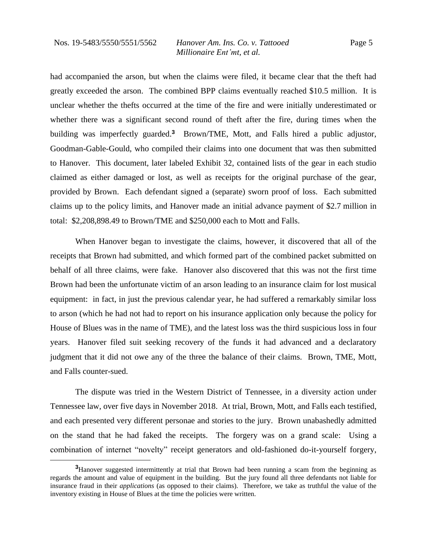had accompanied the arson, but when the claims were filed, it became clear that the theft had greatly exceeded the arson. The combined BPP claims eventually reached \$10.5 million. It is unclear whether the thefts occurred at the time of the fire and were initially underestimated or whether there was a significant second round of theft after the fire, during times when the building was imperfectly guarded.**<sup>3</sup>** Brown/TME, Mott, and Falls hired a public adjustor, Goodman-Gable-Gould, who compiled their claims into one document that was then submitted to Hanover. This document, later labeled Exhibit 32, contained lists of the gear in each studio claimed as either damaged or lost, as well as receipts for the original purchase of the gear, provided by Brown. Each defendant signed a (separate) sworn proof of loss. Each submitted claims up to the policy limits, and Hanover made an initial advance payment of \$2.7 million in total: \$2,208,898.49 to Brown/TME and \$250,000 each to Mott and Falls.

When Hanover began to investigate the claims, however, it discovered that all of the receipts that Brown had submitted, and which formed part of the combined packet submitted on behalf of all three claims, were fake. Hanover also discovered that this was not the first time Brown had been the unfortunate victim of an arson leading to an insurance claim for lost musical equipment: in fact, in just the previous calendar year, he had suffered a remarkably similar loss to arson (which he had not had to report on his insurance application only because the policy for House of Blues was in the name of TME), and the latest loss was the third suspicious loss in four years. Hanover filed suit seeking recovery of the funds it had advanced and a declaratory judgment that it did not owe any of the three the balance of their claims. Brown, TME, Mott, and Falls counter-sued.

The dispute was tried in the Western District of Tennessee, in a diversity action under Tennessee law, over five days in November 2018. At trial, Brown, Mott, and Falls each testified, and each presented very different personae and stories to the jury. Brown unabashedly admitted on the stand that he had faked the receipts. The forgery was on a grand scale: Using a combination of internet "novelty" receipt generators and old-fashioned do-it-yourself forgery,

**<sup>3</sup>**Hanover suggested intermittently at trial that Brown had been running a scam from the beginning as regards the amount and value of equipment in the building. But the jury found all three defendants not liable for insurance fraud in their *applications* (as opposed to their claims). Therefore, we take as truthful the value of the inventory existing in House of Blues at the time the policies were written.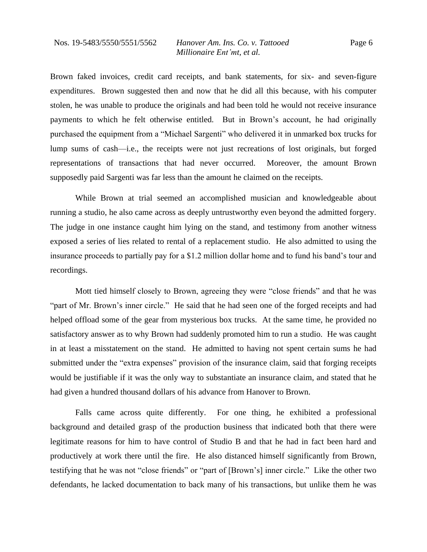Page 6

Brown faked invoices, credit card receipts, and bank statements, for six- and seven-figure expenditures. Brown suggested then and now that he did all this because, with his computer stolen, he was unable to produce the originals and had been told he would not receive insurance payments to which he felt otherwise entitled. But in Brown's account, he had originally purchased the equipment from a "Michael Sargenti" who delivered it in unmarked box trucks for lump sums of cash—i.e., the receipts were not just recreations of lost originals, but forged representations of transactions that had never occurred. Moreover, the amount Brown supposedly paid Sargenti was far less than the amount he claimed on the receipts.

While Brown at trial seemed an accomplished musician and knowledgeable about running a studio, he also came across as deeply untrustworthy even beyond the admitted forgery. The judge in one instance caught him lying on the stand, and testimony from another witness exposed a series of lies related to rental of a replacement studio. He also admitted to using the insurance proceeds to partially pay for a \$1.2 million dollar home and to fund his band's tour and recordings.

Mott tied himself closely to Brown, agreeing they were "close friends" and that he was "part of Mr. Brown's inner circle." He said that he had seen one of the forged receipts and had helped offload some of the gear from mysterious box trucks. At the same time, he provided no satisfactory answer as to why Brown had suddenly promoted him to run a studio. He was caught in at least a misstatement on the stand. He admitted to having not spent certain sums he had submitted under the "extra expenses" provision of the insurance claim, said that forging receipts would be justifiable if it was the only way to substantiate an insurance claim, and stated that he had given a hundred thousand dollars of his advance from Hanover to Brown.

Falls came across quite differently. For one thing, he exhibited a professional background and detailed grasp of the production business that indicated both that there were legitimate reasons for him to have control of Studio B and that he had in fact been hard and productively at work there until the fire. He also distanced himself significantly from Brown, testifying that he was not "close friends" or "part of [Brown's] inner circle." Like the other two defendants, he lacked documentation to back many of his transactions, but unlike them he was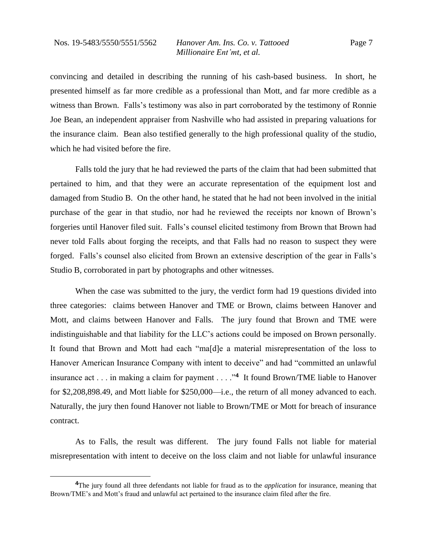convincing and detailed in describing the running of his cash-based business. In short, he presented himself as far more credible as a professional than Mott, and far more credible as a witness than Brown. Falls's testimony was also in part corroborated by the testimony of Ronnie Joe Bean, an independent appraiser from Nashville who had assisted in preparing valuations for the insurance claim. Bean also testified generally to the high professional quality of the studio, which he had visited before the fire.

Falls told the jury that he had reviewed the parts of the claim that had been submitted that pertained to him, and that they were an accurate representation of the equipment lost and damaged from Studio B. On the other hand, he stated that he had not been involved in the initial purchase of the gear in that studio, nor had he reviewed the receipts nor known of Brown's forgeries until Hanover filed suit. Falls's counsel elicited testimony from Brown that Brown had never told Falls about forging the receipts, and that Falls had no reason to suspect they were forged. Falls's counsel also elicited from Brown an extensive description of the gear in Falls's Studio B, corroborated in part by photographs and other witnesses.

When the case was submitted to the jury, the verdict form had 19 questions divided into three categories: claims between Hanover and TME or Brown, claims between Hanover and Mott, and claims between Hanover and Falls. The jury found that Brown and TME were indistinguishable and that liability for the LLC's actions could be imposed on Brown personally. It found that Brown and Mott had each "ma[d]e a material misrepresentation of the loss to Hanover American Insurance Company with intent to deceive" and had "committed an unlawful insurance act . . . in making a claim for payment . . . ."**<sup>4</sup>** It found Brown/TME liable to Hanover for \$2,208,898.49, and Mott liable for \$250,000—i.e., the return of all money advanced to each. Naturally, the jury then found Hanover not liable to Brown/TME or Mott for breach of insurance contract.

As to Falls, the result was different. The jury found Falls not liable for material misrepresentation with intent to deceive on the loss claim and not liable for unlawful insurance

**<sup>4</sup>**The jury found all three defendants not liable for fraud as to the *application* for insurance, meaning that Brown/TME's and Mott's fraud and unlawful act pertained to the insurance claim filed after the fire.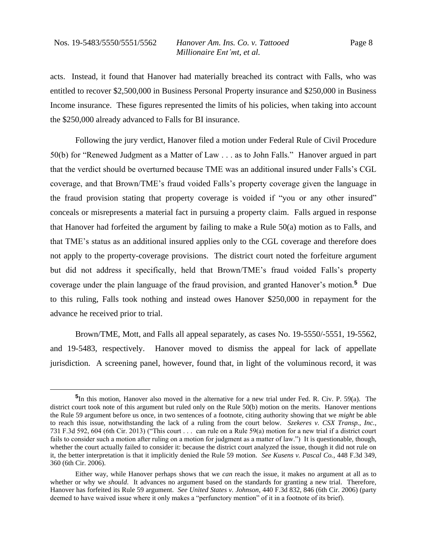acts. Instead, it found that Hanover had materially breached its contract with Falls, who was entitled to recover \$2,500,000 in Business Personal Property insurance and \$250,000 in Business Income insurance. These figures represented the limits of his policies, when taking into account the \$250,000 already advanced to Falls for BI insurance.

Following the jury verdict, Hanover filed a motion under Federal Rule of Civil Procedure 50(b) for "Renewed Judgment as a Matter of Law . . . as to John Falls." Hanover argued in part that the verdict should be overturned because TME was an additional insured under Falls's CGL coverage, and that Brown/TME's fraud voided Falls's property coverage given the language in the fraud provision stating that property coverage is voided if "you or any other insured" conceals or misrepresents a material fact in pursuing a property claim. Falls argued in response that Hanover had forfeited the argument by failing to make a Rule 50(a) motion as to Falls, and that TME's status as an additional insured applies only to the CGL coverage and therefore does not apply to the property-coverage provisions. The district court noted the forfeiture argument but did not address it specifically, held that Brown/TME's fraud voided Falls's property coverage under the plain language of the fraud provision, and granted Hanover's motion.**<sup>5</sup>** Due to this ruling, Falls took nothing and instead owes Hanover \$250,000 in repayment for the advance he received prior to trial.

Brown/TME, Mott, and Falls all appeal separately, as cases No. 19-5550/-5551, 19-5562, and 19-5483, respectively. Hanover moved to dismiss the appeal for lack of appellate jurisdiction. A screening panel, however, found that, in light of the voluminous record, it was

**<sup>5</sup>** In this motion, Hanover also moved in the alternative for a new trial under Fed. R. Civ. P. 59(a). The district court took note of this argument but ruled only on the Rule 50(b) motion on the merits. Hanover mentions the Rule 59 argument before us once, in two sentences of a footnote, citing authority showing that we *might* be able to reach this issue, notwithstanding the lack of a ruling from the court below. *Szekeres v. CSX Transp., Inc.*, 731 F.3d 592, 604 (6th Cir. 2013) ("This court . . . can rule on a Rule 59(a) motion for a new trial if a district court fails to consider such a motion after ruling on a motion for judgment as a matter of law.") It is questionable, though, whether the court actually failed to consider it: because the district court analyzed the issue, though it did not rule on it, the better interpretation is that it implicitly denied the Rule 59 motion. *See Kusens v. Pascal Co.*, 448 F.3d 349, 360 (6th Cir. 2006).

Either way, while Hanover perhaps shows that we *can* reach the issue, it makes no argument at all as to whether or why we *should*. It advances no argument based on the standards for granting a new trial. Therefore, Hanover has forfeited its Rule 59 argument. *See United States v. Johnson*, 440 F.3d 832, 846 (6th Cir. 2006) (party deemed to have waived issue where it only makes a "perfunctory mention" of it in a footnote of its brief).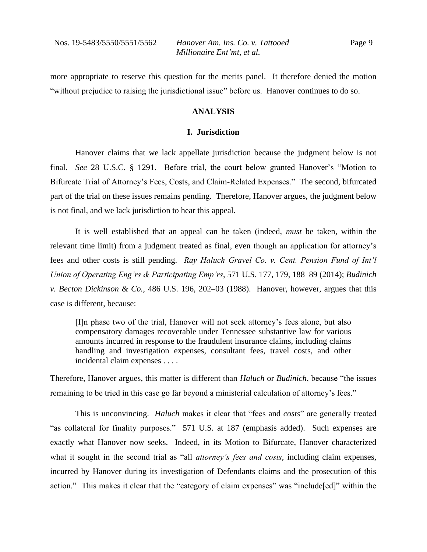Page 9

more appropriate to reserve this question for the merits panel. It therefore denied the motion "without prejudice to raising the jurisdictional issue" before us. Hanover continues to do so.

#### **ANALYSIS**

#### **I. Jurisdiction**

Hanover claims that we lack appellate jurisdiction because the judgment below is not final. *See* 28 U.S.C. § 1291. Before trial, the court below granted Hanover's "Motion to Bifurcate Trial of Attorney's Fees, Costs, and Claim-Related Expenses." The second, bifurcated part of the trial on these issues remains pending. Therefore, Hanover argues, the judgment below is not final, and we lack jurisdiction to hear this appeal.

It is well established that an appeal can be taken (indeed, *must* be taken, within the relevant time limit) from a judgment treated as final, even though an application for attorney's fees and other costs is still pending. *Ray Haluch Gravel Co. v. Cent. Pension Fund of Int'l Union of Operating Eng'rs & Participating Emp'rs*, 571 U.S. 177, 179, 188–89 (2014); *Budinich v. Becton Dickinson & Co.*, 486 U.S. 196, 202–03 (1988). Hanover, however, argues that this case is different, because:

[I]n phase two of the trial, Hanover will not seek attorney's fees alone, but also compensatory damages recoverable under Tennessee substantive law for various amounts incurred in response to the fraudulent insurance claims, including claims handling and investigation expenses, consultant fees, travel costs, and other incidental claim expenses . . . .

Therefore, Hanover argues, this matter is different than *Haluch* or *Budinich*, because "the issues remaining to be tried in this case go far beyond a ministerial calculation of attorney's fees."

This is unconvincing. *Haluch* makes it clear that "fees and *costs*" are generally treated "as collateral for finality purposes." 571 U.S. at 187 (emphasis added). Such expenses are exactly what Hanover now seeks. Indeed, in its Motion to Bifurcate, Hanover characterized what it sought in the second trial as "all *attorney's fees and costs*, including claim expenses, incurred by Hanover during its investigation of Defendants claims and the prosecution of this action." This makes it clear that the "category of claim expenses" was "include[ed]" within the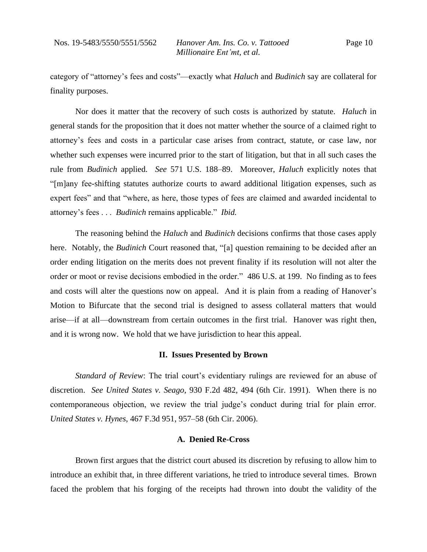category of "attorney's fees and costs"—exactly what *Haluch* and *Budinich* say are collateral for finality purposes.

Nor does it matter that the recovery of such costs is authorized by statute. *Haluch* in general stands for the proposition that it does not matter whether the source of a claimed right to attorney's fees and costs in a particular case arises from contract, statute, or case law, nor whether such expenses were incurred prior to the start of litigation, but that in all such cases the rule from *Budinich* applied. *See* 571 U.S. 188–89. Moreover, *Haluch* explicitly notes that "[m]any fee-shifting statutes authorize courts to award additional litigation expenses, such as expert fees" and that "where, as here, those types of fees are claimed and awarded incidental to attorney's fees . . . *Budinich* remains applicable." *Ibid.*

The reasoning behind the *Haluch* and *Budinich* decisions confirms that those cases apply here. Notably, the *Budinich* Court reasoned that, "[a] question remaining to be decided after an order ending litigation on the merits does not prevent finality if its resolution will not alter the order or moot or revise decisions embodied in the order." 486 U.S. at 199. No finding as to fees and costs will alter the questions now on appeal. And it is plain from a reading of Hanover's Motion to Bifurcate that the second trial is designed to assess collateral matters that would arise—if at all—downstream from certain outcomes in the first trial. Hanover was right then, and it is wrong now. We hold that we have jurisdiction to hear this appeal.

#### **II. Issues Presented by Brown**

*Standard of Review*: The trial court's evidentiary rulings are reviewed for an abuse of discretion. *See United States v. Seago*, 930 F.2d 482, 494 (6th Cir. 1991). When there is no contemporaneous objection, we review the trial judge's conduct during trial for plain error. *United States v. Hynes*, 467 F.3d 951, 957–58 (6th Cir. 2006).

#### **A. Denied Re-Cross**

Brown first argues that the district court abused its discretion by refusing to allow him to introduce an exhibit that, in three different variations, he tried to introduce several times. Brown faced the problem that his forging of the receipts had thrown into doubt the validity of the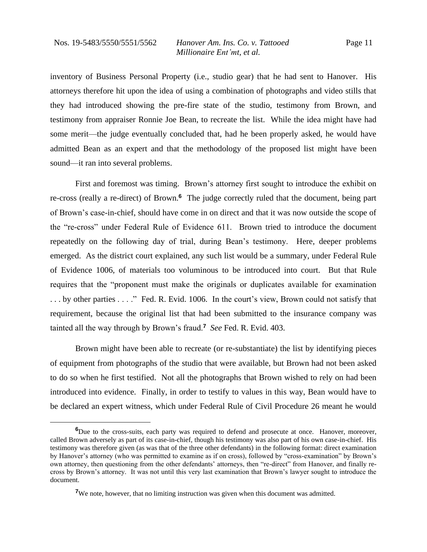inventory of Business Personal Property (i.e., studio gear) that he had sent to Hanover. His attorneys therefore hit upon the idea of using a combination of photographs and video stills that they had introduced showing the pre-fire state of the studio, testimony from Brown, and testimony from appraiser Ronnie Joe Bean, to recreate the list. While the idea might have had some merit—the judge eventually concluded that, had he been properly asked, he would have admitted Bean as an expert and that the methodology of the proposed list might have been sound—it ran into several problems.

First and foremost was timing. Brown's attorney first sought to introduce the exhibit on re-cross (really a re-direct) of Brown.**<sup>6</sup>** The judge correctly ruled that the document, being part of Brown's case-in-chief, should have come in on direct and that it was now outside the scope of the "re-cross" under Federal Rule of Evidence 611. Brown tried to introduce the document repeatedly on the following day of trial, during Bean's testimony. Here, deeper problems emerged. As the district court explained, any such list would be a summary, under Federal Rule of Evidence 1006, of materials too voluminous to be introduced into court. But that Rule requires that the "proponent must make the originals or duplicates available for examination . . . by other parties . . . ." Fed. R. Evid. 1006. In the court's view, Brown could not satisfy that requirement, because the original list that had been submitted to the insurance company was tainted all the way through by Brown's fraud.**<sup>7</sup>** *See* Fed. R. Evid. 403.

Brown might have been able to recreate (or re-substantiate) the list by identifying pieces of equipment from photographs of the studio that were available, but Brown had not been asked to do so when he first testified. Not all the photographs that Brown wished to rely on had been introduced into evidence. Finally, in order to testify to values in this way, Bean would have to be declared an expert witness, which under Federal Rule of Civil Procedure 26 meant he would

**<sup>6</sup>**Due to the cross-suits, each party was required to defend and prosecute at once. Hanover, moreover, called Brown adversely as part of its case-in-chief, though his testimony was also part of his own case-in-chief. His testimony was therefore given (as was that of the three other defendants) in the following format: direct examination by Hanover's attorney (who was permitted to examine as if on cross), followed by "cross-examination" by Brown's own attorney, then questioning from the other defendants' attorneys, then "re-direct" from Hanover, and finally recross by Brown's attorney. It was not until this very last examination that Brown's lawyer sought to introduce the document.

**<sup>7</sup>**We note, however, that no limiting instruction was given when this document was admitted.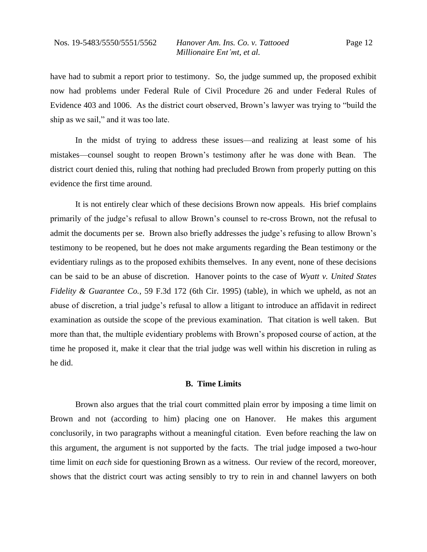have had to submit a report prior to testimony. So, the judge summed up, the proposed exhibit now had problems under Federal Rule of Civil Procedure 26 and under Federal Rules of Evidence 403 and 1006. As the district court observed, Brown's lawyer was trying to "build the ship as we sail," and it was too late.

In the midst of trying to address these issues—and realizing at least some of his mistakes—counsel sought to reopen Brown's testimony after he was done with Bean. The district court denied this, ruling that nothing had precluded Brown from properly putting on this evidence the first time around.

It is not entirely clear which of these decisions Brown now appeals. His brief complains primarily of the judge's refusal to allow Brown's counsel to re-cross Brown, not the refusal to admit the documents per se. Brown also briefly addresses the judge's refusing to allow Brown's testimony to be reopened, but he does not make arguments regarding the Bean testimony or the evidentiary rulings as to the proposed exhibits themselves. In any event, none of these decisions can be said to be an abuse of discretion. Hanover points to the case of *Wyatt v. United States Fidelity & Guarantee Co.*, 59 F.3d 172 (6th Cir. 1995) (table), in which we upheld, as not an abuse of discretion, a trial judge's refusal to allow a litigant to introduce an affidavit in redirect examination as outside the scope of the previous examination. That citation is well taken. But more than that, the multiple evidentiary problems with Brown's proposed course of action, at the time he proposed it, make it clear that the trial judge was well within his discretion in ruling as he did.

## **B. Time Limits**

Brown also argues that the trial court committed plain error by imposing a time limit on Brown and not (according to him) placing one on Hanover. He makes this argument conclusorily, in two paragraphs without a meaningful citation. Even before reaching the law on this argument, the argument is not supported by the facts. The trial judge imposed a two-hour time limit on *each* side for questioning Brown as a witness. Our review of the record, moreover, shows that the district court was acting sensibly to try to rein in and channel lawyers on both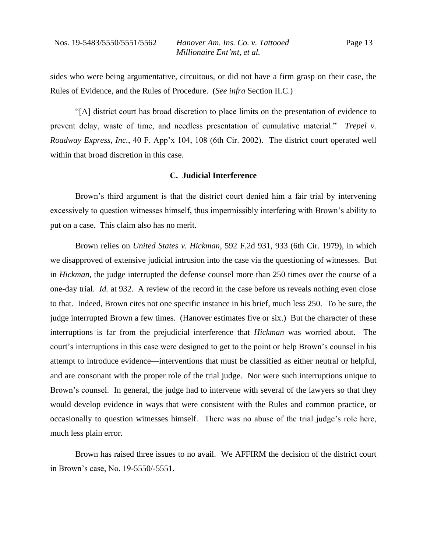sides who were being argumentative, circuitous, or did not have a firm grasp on their case, the Rules of Evidence, and the Rules of Procedure. (*See infra* Section II.C.)

"[A] district court has broad discretion to place limits on the presentation of evidence to prevent delay, waste of time, and needless presentation of cumulative material." *Trepel v. Roadway Express, Inc.*, 40 F. App'x 104, 108 (6th Cir. 2002). The district court operated well within that broad discretion in this case.

#### **C. Judicial Interference**

Brown's third argument is that the district court denied him a fair trial by intervening excessively to question witnesses himself, thus impermissibly interfering with Brown's ability to put on a case. This claim also has no merit.

Brown relies on *United States v. Hickman*, 592 F.2d 931, 933 (6th Cir. 1979), in which we disapproved of extensive judicial intrusion into the case via the questioning of witnesses. But in *Hickman*, the judge interrupted the defense counsel more than 250 times over the course of a one-day trial. *Id.* at 932. A review of the record in the case before us reveals nothing even close to that. Indeed, Brown cites not one specific instance in his brief, much less 250. To be sure, the judge interrupted Brown a few times. (Hanover estimates five or six.) But the character of these interruptions is far from the prejudicial interference that *Hickman* was worried about. The court's interruptions in this case were designed to get to the point or help Brown's counsel in his attempt to introduce evidence—interventions that must be classified as either neutral or helpful, and are consonant with the proper role of the trial judge. Nor were such interruptions unique to Brown's counsel. In general, the judge had to intervene with several of the lawyers so that they would develop evidence in ways that were consistent with the Rules and common practice, or occasionally to question witnesses himself. There was no abuse of the trial judge's role here, much less plain error.

Brown has raised three issues to no avail. We AFFIRM the decision of the district court in Brown's case, No. 19-5550/-5551.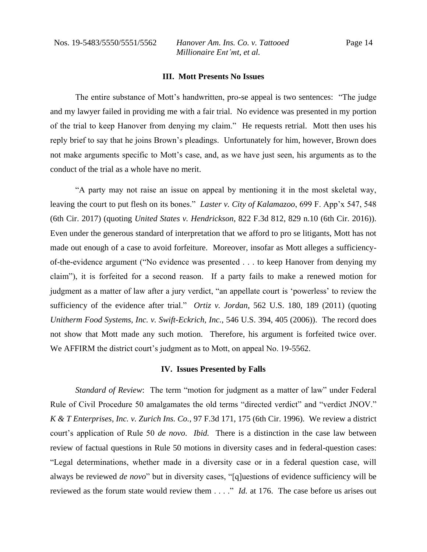Nos. 19-5483/5550/5551/5562 *Hanover Am. Ins. Co. v. Tattooed Millionaire Ent'mt, et al.*

#### **III. Mott Presents No Issues**

The entire substance of Mott's handwritten, pro-se appeal is two sentences: "The judge and my lawyer failed in providing me with a fair trial. No evidence was presented in my portion of the trial to keep Hanover from denying my claim." He requests retrial. Mott then uses his reply brief to say that he joins Brown's pleadings. Unfortunately for him, however, Brown does not make arguments specific to Mott's case, and, as we have just seen, his arguments as to the conduct of the trial as a whole have no merit.

"A party may not raise an issue on appeal by mentioning it in the most skeletal way, leaving the court to put flesh on its bones." *Laster v. City of Kalamazoo*, 699 F. App'x 547, 548 (6th Cir. 2017) (quoting *United States v. Hendrickson*, 822 F.3d 812, 829 n.10 (6th Cir. 2016)). Even under the generous standard of interpretation that we afford to pro se litigants, Mott has not made out enough of a case to avoid forfeiture. Moreover, insofar as Mott alleges a sufficiencyof-the-evidence argument ("No evidence was presented . . . to keep Hanover from denying my claim"), it is forfeited for a second reason. If a party fails to make a renewed motion for judgment as a matter of law after a jury verdict, "an appellate court is 'powerless' to review the sufficiency of the evidence after trial." *Ortiz v. Jordan*, 562 U.S. 180, 189 (2011) (quoting *Unitherm Food Systems, Inc. v. Swift-Eckrich, Inc.*, 546 U.S. 394, 405 (2006)). The record does not show that Mott made any such motion. Therefore, his argument is forfeited twice over. We AFFIRM the district court's judgment as to Mott, on appeal No. 19-5562.

#### **IV. Issues Presented by Falls**

*Standard of Review*: The term "motion for judgment as a matter of law" under Federal Rule of Civil Procedure 50 amalgamates the old terms "directed verdict" and "verdict JNOV." *K & T Enterprises, Inc. v. Zurich Ins. Co.*, 97 F.3d 171, 175 (6th Cir. 1996). We review a district court's application of Rule 50 *de novo*. *Ibid.* There is a distinction in the case law between review of factual questions in Rule 50 motions in diversity cases and in federal-question cases: "Legal determinations, whether made in a diversity case or in a federal question case, will always be reviewed *de novo*" but in diversity cases, "[q]uestions of evidence sufficiency will be reviewed as the forum state would review them . . . ." *Id.* at 176. The case before us arises out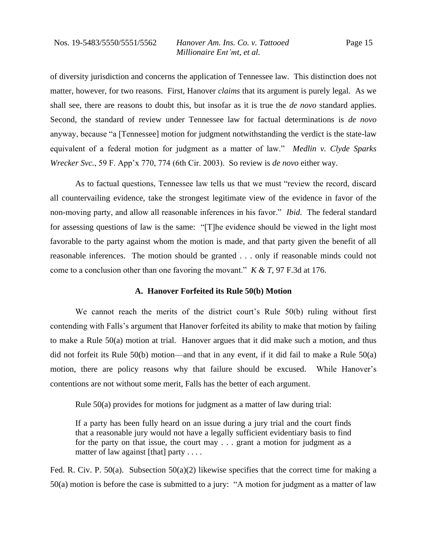of diversity jurisdiction and concerns the application of Tennessee law. This distinction does not matter, however, for two reasons. First, Hanover *claims* that its argument is purely legal. As we shall see, there are reasons to doubt this, but insofar as it is true the *de novo* standard applies. Second, the standard of review under Tennessee law for factual determinations is *de novo*  anyway, because "a [Tennessee] motion for judgment notwithstanding the verdict is the state-law equivalent of a federal motion for judgment as a matter of law." *Medlin v. Clyde Sparks Wrecker Svc.*, 59 F. App'x 770, 774 (6th Cir. 2003). So review is *de novo* either way.

As to factual questions, Tennessee law tells us that we must "review the record, discard all countervailing evidence, take the strongest legitimate view of the evidence in favor of the non-moving party, and allow all reasonable inferences in his favor." *Ibid*. The federal standard for assessing questions of law is the same: "[T]he evidence should be viewed in the light most favorable to the party against whom the motion is made, and that party given the benefit of all reasonable inferences. The motion should be granted . . . only if reasonable minds could not come to a conclusion other than one favoring the movant." *K & T*, 97 F.3d at 176.

#### **A. Hanover Forfeited its Rule 50(b) Motion**

We cannot reach the merits of the district court's Rule 50(b) ruling without first contending with Falls's argument that Hanover forfeited its ability to make that motion by failing to make a Rule 50(a) motion at trial. Hanover argues that it did make such a motion, and thus did not forfeit its Rule 50(b) motion—and that in any event, if it did fail to make a Rule 50(a) motion, there are policy reasons why that failure should be excused. While Hanover's contentions are not without some merit, Falls has the better of each argument.

Rule 50(a) provides for motions for judgment as a matter of law during trial:

If a party has been fully heard on an issue during a jury trial and the court finds that a reasonable jury would not have a legally sufficient evidentiary basis to find for the party on that issue, the court may . . . grant a motion for judgment as a matter of law against [that] party . . . .

Fed. R. Civ. P. 50(a). Subsection 50(a)(2) likewise specifies that the correct time for making a 50(a) motion is before the case is submitted to a jury: "A motion for judgment as a matter of law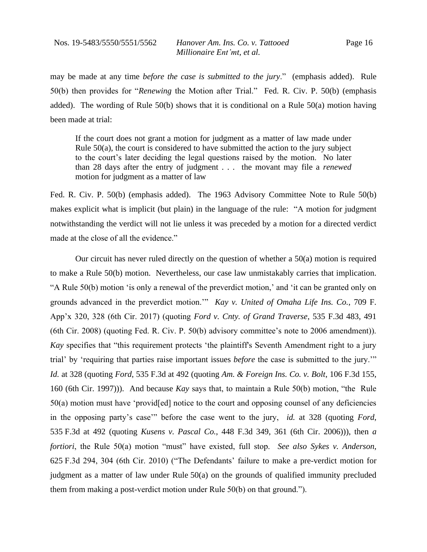may be made at any time *before the case is submitted to the jury*." (emphasis added). Rule 50(b) then provides for "*Renewing* the Motion after Trial." Fed. R. Civ. P. 50(b) (emphasis added). The wording of Rule  $50(b)$  shows that it is conditional on a Rule  $50(a)$  motion having been made at trial:

If the court does not grant a motion for judgment as a matter of law made under Rule 50(a), the court is considered to have submitted the action to the jury subject to the court's later deciding the legal questions raised by the motion. No later than 28 days after the entry of judgment . . . the movant may file a *renewed* motion for judgment as a matter of law

Fed. R. Civ. P. 50(b) (emphasis added). The 1963 Advisory Committee Note to Rule 50(b) makes explicit what is implicit (but plain) in the language of the rule: "A motion for judgment notwithstanding the verdict will not lie unless it was preceded by a motion for a directed verdict made at the close of all the evidence."

Our circuit has never ruled directly on the question of whether a 50(a) motion is required to make a Rule 50(b) motion. Nevertheless, our case law unmistakably carries that implication. "A Rule 50(b) motion 'is only a renewal of the preverdict motion,' and 'it can be granted only on grounds advanced in the preverdict motion.'" *Kay v. United of Omaha Life Ins. Co.*, 709 F. App'x 320, 328 (6th Cir. 2017) (quoting *Ford v. Cnty. of Grand Traverse*, 535 F.3d 483, 491 (6th Cir. 2008) (quoting Fed. R. Civ. P. 50(b) advisory committee's note to 2006 amendment)). *Kay* specifies that "this requirement protects 'the plaintiff's Seventh Amendment right to a jury trial' by 'requiring that parties raise important issues *before* the case is submitted to the jury.'" *Id.* at 328 (quoting *Ford*, 535 F.3d at 492 (quoting *Am. & Foreign Ins. Co. v. Bolt*, 106 F.3d 155, 160 (6th Cir. 1997))). And because *Kay* says that, to maintain a Rule 50(b) motion, "the Rule 50(a) motion must have 'provid[ed] notice to the court and opposing counsel of any deficiencies in the opposing party's case'" before the case went to the jury, *id.* at 328 (quoting *Ford*, 535 F.3d at 492 (quoting *Kusens v. Pascal Co.*, 448 F.3d 349, 361 (6th Cir. 2006))), then *a fortiori*, the Rule 50(a) motion "must" have existed, full stop. *See also Sykes v. Anderson*, 625 F.3d 294, 304 (6th Cir. 2010) ("The Defendants' failure to make a pre-verdict motion for judgment as a matter of law under Rule 50(a) on the grounds of qualified immunity precluded them from making a post-verdict motion under Rule 50(b) on that ground.").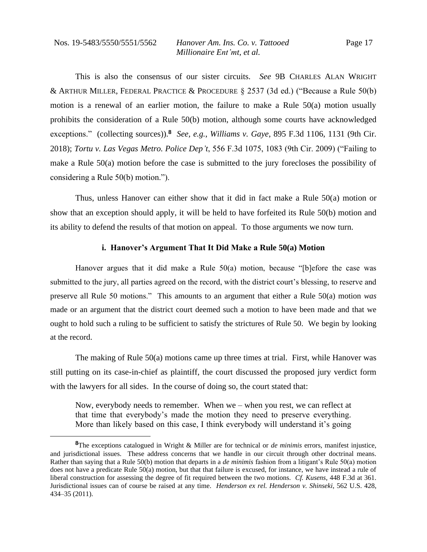This is also the consensus of our sister circuits. *See* 9B CHARLES ALAN WRIGHT & ARTHUR MILLER, FEDERAL PRACTICE & PROCEDURE § 2537 (3d ed.) ("Because a Rule 50(b) motion is a renewal of an earlier motion, the failure to make a Rule 50(a) motion usually prohibits the consideration of a Rule 50(b) motion, although some courts have acknowledged exceptions." (collecting sources)).**<sup>8</sup>** *See, e.g.*, *Williams v. Gaye*, 895 F.3d 1106, 1131 (9th Cir. 2018); *Tortu v. Las Vegas Metro. Police Dep't*, 556 F.3d 1075, 1083 (9th Cir. 2009) ("Failing to make a Rule 50(a) motion before the case is submitted to the jury forecloses the possibility of considering a Rule 50(b) motion.").

Thus, unless Hanover can either show that it did in fact make a Rule 50(a) motion or show that an exception should apply, it will be held to have forfeited its Rule 50(b) motion and its ability to defend the results of that motion on appeal. To those arguments we now turn.

#### **i. Hanover's Argument That It Did Make a Rule 50(a) Motion**

Hanover argues that it did make a Rule 50(a) motion, because "[b]efore the case was submitted to the jury, all parties agreed on the record, with the district court's blessing, to reserve and preserve all Rule 50 motions." This amounts to an argument that either a Rule 50(a) motion *was*  made or an argument that the district court deemed such a motion to have been made and that we ought to hold such a ruling to be sufficient to satisfy the strictures of Rule 50. We begin by looking at the record.

The making of Rule 50(a) motions came up three times at trial. First, while Hanover was still putting on its case-in-chief as plaintiff, the court discussed the proposed jury verdict form with the lawyers for all sides. In the course of doing so, the court stated that:

Now, everybody needs to remember. When we – when you rest, we can reflect at that time that everybody's made the motion they need to preserve everything. More than likely based on this case, I think everybody will understand it's going

**<sup>8</sup>**The exceptions catalogued in Wright & Miller are for technical or *de minimis* errors, manifest injustice, and jurisdictional issues. These address concerns that we handle in our circuit through other doctrinal means. Rather than saying that a Rule 50(b) motion that departs in a *de minimis* fashion from a litigant's Rule 50(a) motion does not have a predicate Rule 50(a) motion, but that that failure is excused, for instance, we have instead a rule of liberal construction for assessing the degree of fit required between the two motions. *Cf. Kusens*, 448 F.3d at 361. Jurisdictional issues can of course be raised at any time. *Henderson ex rel. Henderson v. Shinseki*, 562 U.S. 428, 434–35 (2011).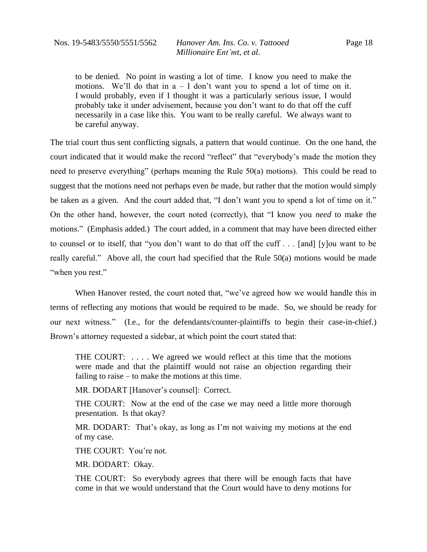to be denied. No point in wasting a lot of time. I know you need to make the motions. We'll do that in  $a - I$  don't want you to spend a lot of time on it. I would probably, even if I thought it was a particularly serious issue, I would probably take it under advisement, because you don't want to do that off the cuff necessarily in a case like this. You want to be really careful. We always want to be careful anyway.

The trial court thus sent conflicting signals, a pattern that would continue. On the one hand, the court indicated that it would make the record "reflect" that "everybody's made the motion they need to preserve everything" (perhaps meaning the Rule 50(a) motions). This could be read to suggest that the motions need not perhaps even *be* made, but rather that the motion would simply be taken as a given. And the court added that, "I don't want you to spend a lot of time on it." On the other hand, however, the court noted (correctly), that "I know you *need* to make the motions." (Emphasis added.) The court added, in a comment that may have been directed either to counsel or to itself, that "you don't want to do that off the cuff . . . [and] [y]ou want to be really careful." Above all, the court had specified that the Rule 50(a) motions would be made "when you rest."

When Hanover rested, the court noted that, "we've agreed how we would handle this in terms of reflecting any motions that would be required to be made. So, we should be ready for our next witness." (I.e., for the defendants/counter-plaintiffs to begin their case-in-chief.) Brown's attorney requested a sidebar, at which point the court stated that:

THE COURT: . . . . We agreed we would reflect at this time that the motions were made and that the plaintiff would not raise an objection regarding their failing to raise – to make the motions at this time.

MR. DODART [Hanover's counsel]: Correct.

THE COURT: Now at the end of the case we may need a little more thorough presentation. Is that okay?

MR. DODART: That's okay, as long as I'm not waiving my motions at the end of my case.

THE COURT: You're not.

MR. DODART: Okay.

THE COURT: So everybody agrees that there will be enough facts that have come in that we would understand that the Court would have to deny motions for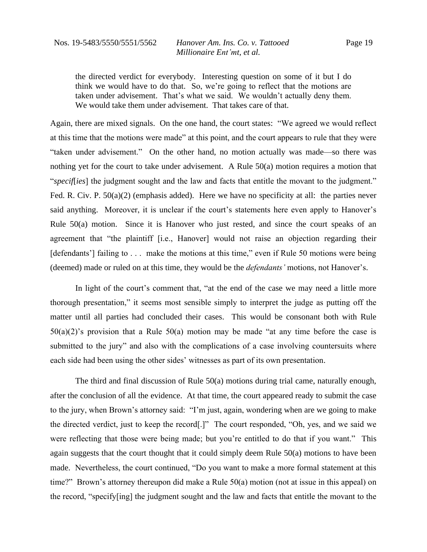Page 19

the directed verdict for everybody. Interesting question on some of it but I do think we would have to do that. So, we're going to reflect that the motions are taken under advisement. That's what we said. We wouldn't actually deny them. We would take them under advisement. That takes care of that.

Again, there are mixed signals. On the one hand, the court states: "We agreed we would reflect at this time that the motions were made" at this point, and the court appears to rule that they were "taken under advisement." On the other hand, no motion actually was made—so there was nothing yet for the court to take under advisement. A Rule 50(a) motion requires a motion that "*specif*[*ies*] the judgment sought and the law and facts that entitle the movant to the judgment." Fed. R. Civ. P. 50(a)(2) (emphasis added). Here we have no specificity at all: the parties never said anything. Moreover, it is unclear if the court's statements here even apply to Hanover's Rule 50(a) motion. Since it is Hanover who just rested, and since the court speaks of an agreement that "the plaintiff [i.e., Hanover] would not raise an objection regarding their [defendants'] failing to . . . make the motions at this time," even if Rule 50 motions were being (deemed) made or ruled on at this time, they would be the *defendants'* motions, not Hanover's.

In light of the court's comment that, "at the end of the case we may need a little more thorough presentation," it seems most sensible simply to interpret the judge as putting off the matter until all parties had concluded their cases. This would be consonant both with Rule  $50(a)(2)$ 's provision that a Rule  $50(a)$  motion may be made "at any time before the case is submitted to the jury" and also with the complications of a case involving countersuits where each side had been using the other sides' witnesses as part of its own presentation.

The third and final discussion of Rule 50(a) motions during trial came, naturally enough, after the conclusion of all the evidence. At that time, the court appeared ready to submit the case to the jury, when Brown's attorney said: "I'm just, again, wondering when are we going to make the directed verdict, just to keep the record[.]" The court responded, "Oh, yes, and we said we were reflecting that those were being made; but you're entitled to do that if you want." This again suggests that the court thought that it could simply deem Rule 50(a) motions to have been made. Nevertheless, the court continued, "Do you want to make a more formal statement at this time?" Brown's attorney thereupon did make a Rule 50(a) motion (not at issue in this appeal) on the record, "specify[ing] the judgment sought and the law and facts that entitle the movant to the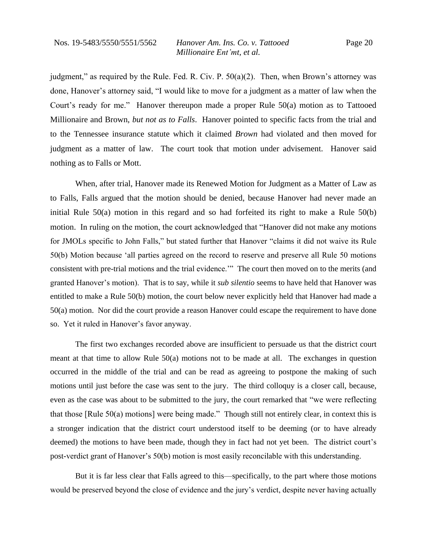judgment," as required by the Rule. Fed. R. Civ. P.  $50(a)(2)$ . Then, when Brown's attorney was done, Hanover's attorney said, "I would like to move for a judgment as a matter of law when the Court's ready for me." Hanover thereupon made a proper Rule 50(a) motion as to Tattooed Millionaire and Brown, *but not as to Falls*. Hanover pointed to specific facts from the trial and to the Tennessee insurance statute which it claimed *Brown* had violated and then moved for judgment as a matter of law. The court took that motion under advisement. Hanover said nothing as to Falls or Mott.

When, after trial, Hanover made its Renewed Motion for Judgment as a Matter of Law as to Falls, Falls argued that the motion should be denied, because Hanover had never made an initial Rule  $50(a)$  motion in this regard and so had forfeited its right to make a Rule  $50(b)$ motion. In ruling on the motion, the court acknowledged that "Hanover did not make any motions for JMOLs specific to John Falls," but stated further that Hanover "claims it did not waive its Rule 50(b) Motion because 'all parties agreed on the record to reserve and preserve all Rule 50 motions consistent with pre-trial motions and the trial evidence.'" The court then moved on to the merits (and granted Hanover's motion). That is to say, while it *sub silentio* seems to have held that Hanover was entitled to make a Rule 50(b) motion, the court below never explicitly held that Hanover had made a 50(a) motion. Nor did the court provide a reason Hanover could escape the requirement to have done so. Yet it ruled in Hanover's favor anyway.

The first two exchanges recorded above are insufficient to persuade us that the district court meant at that time to allow Rule 50(a) motions not to be made at all. The exchanges in question occurred in the middle of the trial and can be read as agreeing to postpone the making of such motions until just before the case was sent to the jury. The third colloquy is a closer call, because, even as the case was about to be submitted to the jury, the court remarked that "we were reflecting that those [Rule 50(a) motions] were being made." Though still not entirely clear, in context this is a stronger indication that the district court understood itself to be deeming (or to have already deemed) the motions to have been made, though they in fact had not yet been. The district court's post-verdict grant of Hanover's 50(b) motion is most easily reconcilable with this understanding.

But it is far less clear that Falls agreed to this—specifically, to the part where those motions would be preserved beyond the close of evidence and the jury's verdict, despite never having actually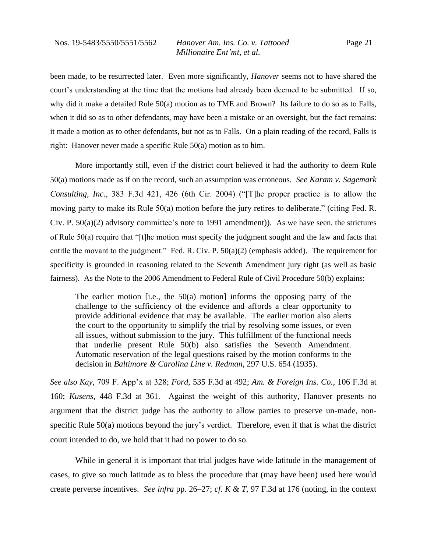been made, to be resurrected later. Even more significantly, *Hanover* seems not to have shared the court's understanding at the time that the motions had already been deemed to be submitted. If so, why did it make a detailed Rule 50(a) motion as to TME and Brown? Its failure to do so as to Falls, when it did so as to other defendants, may have been a mistake or an oversight, but the fact remains: it made a motion as to other defendants, but not as to Falls. On a plain reading of the record, Falls is right: Hanover never made a specific Rule 50(a) motion as to him.

More importantly still, even if the district court believed it had the authority to deem Rule 50(a) motions made as if on the record, such an assumption was erroneous. *See Karam v. Sagemark Consulting, Inc.*, 383 F.3d 421, 426 (6th Cir. 2004) ("[T]he proper practice is to allow the moving party to make its Rule 50(a) motion before the jury retires to deliberate." (citing Fed. R. Civ. P.  $50(a)(2)$  advisory committee's note to 1991 amendment)). As we have seen, the strictures of Rule 50(a) require that "[t]he motion *must* specify the judgment sought and the law and facts that entitle the movant to the judgment." Fed. R. Civ. P. 50(a)(2) (emphasis added). The requirement for specificity is grounded in reasoning related to the Seventh Amendment jury right (as well as basic fairness). As the Note to the 2006 Amendment to Federal Rule of Civil Procedure 50(b) explains:

The earlier motion [i.e., the  $50(a)$  motion] informs the opposing party of the challenge to the sufficiency of the evidence and affords a clear opportunity to provide additional evidence that may be available. The earlier motion also alerts the court to the opportunity to simplify the trial by resolving some issues, or even all issues, without submission to the jury. This fulfillment of the functional needs that underlie present Rule 50(b) also satisfies the Seventh Amendment. Automatic reservation of the legal questions raised by the motion conforms to the decision in *Baltimore & Carolina Line v. Redman*, 297 U.S. 654 (1935).

*See also Kay*, 709 F. App'x at 328; *Ford*, 535 F.3d at 492; *Am. & Foreign Ins. Co.*, 106 F.3d at 160; *Kusens*, 448 F.3d at 361. Against the weight of this authority, Hanover presents no argument that the district judge has the authority to allow parties to preserve un-made, nonspecific Rule 50(a) motions beyond the jury's verdict. Therefore, even if that is what the district court intended to do, we hold that it had no power to do so.

While in general it is important that trial judges have wide latitude in the management of cases, to give so much latitude as to bless the procedure that (may have been) used here would create perverse incentives. *See infra* pp. 26–27; *cf. K & T*, 97 F.3d at 176 (noting, in the context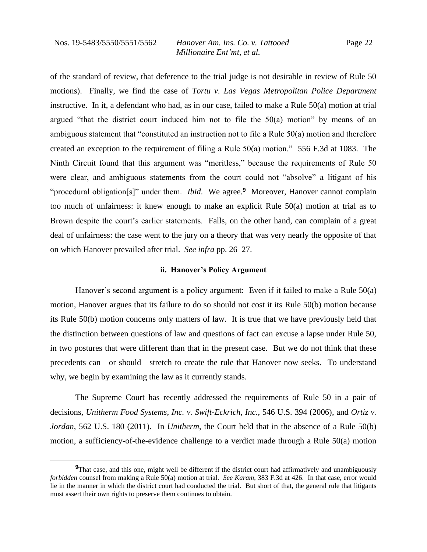of the standard of review, that deference to the trial judge is not desirable in review of Rule 50 motions). Finally, we find the case of *Tortu v. Las Vegas Metropolitan Police Department*  instructive. In it, a defendant who had, as in our case, failed to make a Rule 50(a) motion at trial argued "that the district court induced him not to file the  $50(a)$  motion" by means of an ambiguous statement that "constituted an instruction not to file a Rule 50(a) motion and therefore created an exception to the requirement of filing a Rule 50(a) motion." 556 F.3d at 1083. The Ninth Circuit found that this argument was "meritless," because the requirements of Rule 50 were clear, and ambiguous statements from the court could not "absolve" a litigant of his "procedural obligation[s]" under them. *Ibid*. We agree.**<sup>9</sup>** Moreover, Hanover cannot complain too much of unfairness: it knew enough to make an explicit Rule 50(a) motion at trial as to Brown despite the court's earlier statements. Falls, on the other hand, can complain of a great deal of unfairness: the case went to the jury on a theory that was very nearly the opposite of that on which Hanover prevailed after trial. *See infra* pp. 26–27.

#### **ii. Hanover's Policy Argument**

Hanover's second argument is a policy argument: Even if it failed to make a Rule 50(a) motion, Hanover argues that its failure to do so should not cost it its Rule 50(b) motion because its Rule 50(b) motion concerns only matters of law. It is true that we have previously held that the distinction between questions of law and questions of fact can excuse a lapse under Rule 50, in two postures that were different than that in the present case. But we do not think that these precedents can—or should—stretch to create the rule that Hanover now seeks. To understand why, we begin by examining the law as it currently stands.

The Supreme Court has recently addressed the requirements of Rule 50 in a pair of decisions, *Unitherm Food Systems, Inc. v. Swift-Eckrich, Inc.*, 546 U.S. 394 (2006), and *Ortiz v. Jordan*, 562 U.S. 180 (2011). In *Unitherm*, the Court held that in the absence of a Rule 50(b) motion, a sufficiency-of-the-evidence challenge to a verdict made through a Rule 50(a) motion

<sup>&</sup>lt;sup>9</sup>That case, and this one, might well be different if the district court had affirmatively and unambiguously *forbidden* counsel from making a Rule 50(a) motion at trial. *See Karam*, 383 F.3d at 426. In that case, error would lie in the manner in which the district court had conducted the trial. But short of that, the general rule that litigants must assert their own rights to preserve them continues to obtain.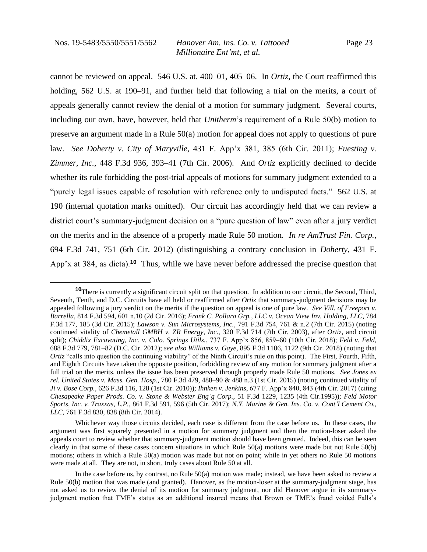cannot be reviewed on appeal. 546 U.S. at. 400–01, 405–06. In *Ortiz*, the Court reaffirmed this holding, 562 U.S. at 190–91, and further held that following a trial on the merits, a court of appeals generally cannot review the denial of a motion for summary judgment. Several courts, including our own, have, however, held that *Unitherm*'s requirement of a Rule 50(b) motion to preserve an argument made in a Rule 50(a) motion for appeal does not apply to questions of pure law. *See Doherty v. City of Maryville*, 431 F. App'x 381, 385 (6th Cir. 2011); *Fuesting v. Zimmer, Inc.*, 448 F.3d 936, 393–41 (7th Cir. 2006). And *Ortiz* explicitly declined to decide whether its rule forbidding the post-trial appeals of motions for summary judgment extended to a "purely legal issues capable of resolution with reference only to undisputed facts." 562 U.S. at 190 (internal quotation marks omitted). Our circuit has accordingly held that we can review a district court's summary-judgment decision on a "pure question of law" even after a jury verdict on the merits and in the absence of a properly made Rule 50 motion. *In re AmTrust Fin. Corp.*, 694 F.3d 741, 751 (6th Cir. 2012) (distinguishing a contrary conclusion in *Doherty*, 431 F. App'x at 384, as dicta).**<sup>10</sup>** Thus, while we have never before addressed the precise question that

**<sup>10</sup>**There is currently a significant circuit split on that question. In addition to our circuit, the Second, Third, Seventh, Tenth, and D.C. Circuits have all held or reaffirmed after *Ortiz* that summary-judgment decisions may be appealed following a jury verdict on the merits if the question on appeal is one of pure law. *See Vill. of Freeport v. Barrella*, 814 F.3d 594, 601 n.10 (2d Cir. 2016); *Frank C. Pollara Grp., LLC v. Ocean View Inv. Holding, LLC*, 784 F.3d 177, 185 (3d Cir. 2015); *Lawson v. Sun Microsystems, Inc.*, 791 F.3d 754, 761 & n.2 (7th Cir. 2015) (noting continued vitality of *Chemetall GMBH v. ZR Energy, Inc.*, 320 F.3d 714 (7th Cir. 2003), after *Ortiz*, and circuit split); *Chiddix Excavating, Inc. v. Colo. Springs Utils.*, 737 F. App'x 856, 859–60 (10th Cir. 2018); *Feld v. Feld*, 688 F.3d 779, 781–82 (D.C. Cir. 2012); *see also Williams v. Gaye*, 895 F.3d 1106, 1122 (9th Cir. 2018) (noting that *Ortiz* "calls into question the continuing viability" of the Ninth Circuit's rule on this point). The First, Fourth, Fifth, and Eighth Circuits have taken the opposite position, forbidding review of any motion for summary judgment after a full trial on the merits, unless the issue has been preserved through properly made Rule 50 motions. *See Jones ex rel. United States v. Mass. Gen. Hosp.*, 780 F.3d 479, 488–90 & 488 n.3 (1st Cir. 2015) (noting continued vitality of *Ji v. Bose Corp.*, 626 F.3d 116, 128 (1st Cir. 2010)); *Ihnken v. Jenkins*, 677 F. App'x 840, 843 (4th Cir. 2017) (citing *Chesapeake Paper Prods. Co. v. Stone & Webster Eng'g Corp.*, 51 F.3d 1229, 1235 (4th Cir.1995)); *Feld Motor Sports, Inc. v. Traxxas, L.P.*, 861 F.3d 591, 596 (5th Cir. 2017); *N.Y. Marine & Gen. Ins. Co. v. Cont'l Cement Co., LLC*, 761 F.3d 830, 838 (8th Cir. 2014).

Whichever way those circuits decided, each case is different from the case before us. In these cases, the argument was first squarely presented in a motion for summary judgment and then the motion-loser asked the appeals court to review whether that summary-judgment motion should have been granted. Indeed, this can be seen clearly in that some of these cases concern situations in which Rule 50(a) motions were made but not Rule 50(b) motions; others in which a Rule 50(a) motion was made but not on point; while in yet others no Rule 50 motions were made at all. They are not, in short, truly cases about Rule 50 at all.

In the case before us, by contrast, no Rule 50(a) motion was made; instead, we have been asked to review a Rule 50(b) motion that was made (and granted). Hanover, as the motion-loser at the summary-judgment stage, has not asked us to review the denial of its motion for summary judgment, nor did Hanover argue in its summaryjudgment motion that TME's status as an additional insured means that Brown or TME's fraud voided Falls's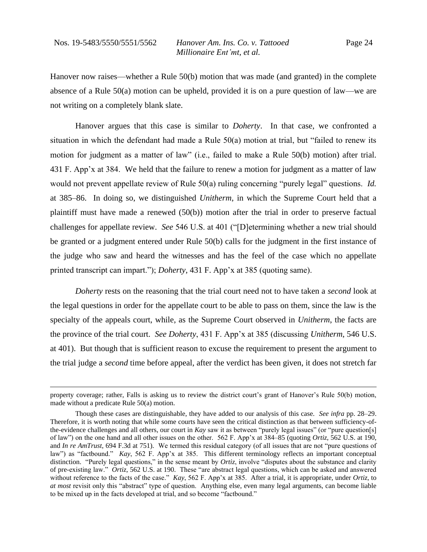Hanover now raises—whether a Rule 50(b) motion that was made (and granted) in the complete absence of a Rule 50(a) motion can be upheld, provided it is on a pure question of law—we are not writing on a completely blank slate.

Hanover argues that this case is similar to *Doherty*. In that case, we confronted a situation in which the defendant had made a Rule 50(a) motion at trial, but "failed to renew its motion for judgment as a matter of law" (i.e., failed to make a Rule 50(b) motion) after trial. 431 F. App'x at 384. We held that the failure to renew a motion for judgment as a matter of law would not prevent appellate review of Rule 50(a) ruling concerning "purely legal" questions. *Id.*  at 385–86. In doing so, we distinguished *Unitherm*, in which the Supreme Court held that a plaintiff must have made a renewed (50(b)) motion after the trial in order to preserve factual challenges for appellate review. *See* 546 U.S. at 401 ("[D]etermining whether a new trial should be granted or a judgment entered under Rule 50(b) calls for the judgment in the first instance of the judge who saw and heard the witnesses and has the feel of the case which no appellate printed transcript can impart."); *Doherty*, 431 F. App'x at 385 (quoting same).

*Doherty* rests on the reasoning that the trial court need not to have taken a *second* look at the legal questions in order for the appellate court to be able to pass on them, since the law is the specialty of the appeals court, while, as the Supreme Court observed in *Unitherm*, the facts are the province of the trial court. *See Doherty*, 431 F. App'x at 385 (discussing *Unitherm*, 546 U.S. at 401). But though that is sufficient reason to excuse the requirement to present the argument to the trial judge a *second* time before appeal, after the verdict has been given, it does not stretch far

property coverage; rather, Falls is asking us to review the district court's grant of Hanover's Rule 50(b) motion, made without a predicate Rule 50(a) motion.

Though these cases are distinguishable, they have added to our analysis of this case. *See infra* pp. 28–29. Therefore, it is worth noting that while some courts have seen the critical distinction as that between sufficiency-ofthe-evidence challenges and all others, our court in *Kay* saw it as between "purely legal issues" (or "pure question[s] of law") on the one hand and all other issues on the other. 562 F. App'x at 384–85 (quoting *Ortiz*, 562 U.S. at 190, and *In re AmTrust*, 694 F.3d at 751). We termed this residual category (of all issues that are not "pure questions of law") as "factbound." *Kay*, 562 F. App'x at 385. This different terminology reflects an important conceptual distinction. "Purely legal questions," in the sense meant by *Ortiz*, involve "disputes about the substance and clarity of pre-existing law." *Ortiz*, 562 U.S. at 190. These "are abstract legal questions, which can be asked and answered without reference to the facts of the case." *Kay*, 562 F. App'x at 385. After a trial, it is appropriate, under *Ortiz*, to *at most* revisit only this "abstract" type of question. Anything else, even many legal arguments, can become liable to be mixed up in the facts developed at trial, and so become "factbound."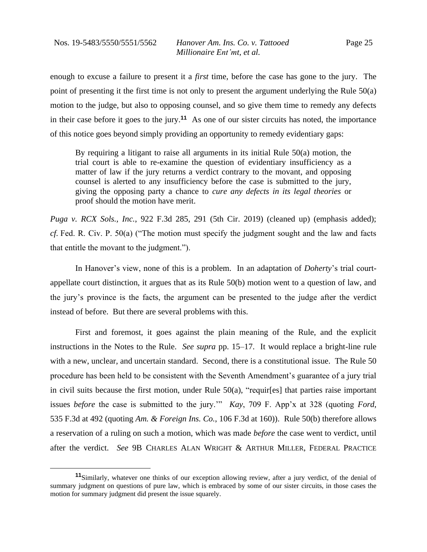enough to excuse a failure to present it a *first* time, before the case has gone to the jury. The point of presenting it the first time is not only to present the argument underlying the Rule 50(a) motion to the judge, but also to opposing counsel, and so give them time to remedy any defects in their case before it goes to the jury.**<sup>11</sup>** As one of our sister circuits has noted, the importance of this notice goes beyond simply providing an opportunity to remedy evidentiary gaps:

By requiring a litigant to raise all arguments in its initial Rule 50(a) motion, the trial court is able to re-examine the question of evidentiary insufficiency as a matter of law if the jury returns a verdict contrary to the movant, and opposing counsel is alerted to any insufficiency before the case is submitted to the jury, giving the opposing party a chance to *cure any defects in its legal theories* or proof should the motion have merit.

*Puga v. RCX Sols., Inc.*, 922 F.3d 285, 291 (5th Cir. 2019) (cleaned up) (emphasis added); *cf.* Fed. R. Civ. P. 50(a) ("The motion must specify the judgment sought and the law and facts that entitle the movant to the judgment.").

In Hanover's view, none of this is a problem. In an adaptation of *Doherty*'s trial courtappellate court distinction, it argues that as its Rule 50(b) motion went to a question of law, and the jury's province is the facts, the argument can be presented to the judge after the verdict instead of before. But there are several problems with this.

First and foremost, it goes against the plain meaning of the Rule, and the explicit instructions in the Notes to the Rule. *See supra* pp. 15–17. It would replace a bright-line rule with a new, unclear, and uncertain standard. Second, there is a constitutional issue. The Rule 50 procedure has been held to be consistent with the Seventh Amendment's guarantee of a jury trial in civil suits because the first motion, under Rule 50(a), "requir[es] that parties raise important issues *before* the case is submitted to the jury.'" *Kay*, 709 F. App'x at 328 (quoting *Ford*, 535 F.3d at 492 (quoting *Am. & Foreign Ins. Co.*, 106 F.3d at 160)). Rule 50(b) therefore allows a reservation of a ruling on such a motion, which was made *before* the case went to verdict, until after the verdict. *See* 9B CHARLES ALAN WRIGHT & ARTHUR MILLER, FEDERAL PRACTICE

**<sup>11</sup>**Similarly, whatever one thinks of our exception allowing review, after a jury verdict, of the denial of summary judgment on questions of pure law, which is embraced by some of our sister circuits, in those cases the motion for summary judgment did present the issue squarely.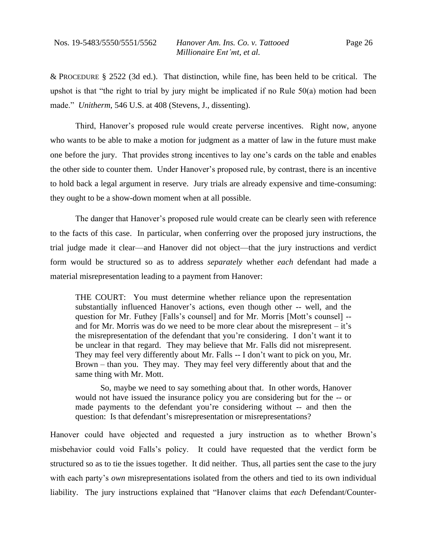& PROCEDURE § 2522 (3d ed.). That distinction, while fine, has been held to be critical. The upshot is that "the right to trial by jury might be implicated if no Rule 50(a) motion had been made." *Unitherm*, 546 U.S. at 408 (Stevens, J., dissenting).

Third, Hanover's proposed rule would create perverse incentives. Right now, anyone who wants to be able to make a motion for judgment as a matter of law in the future must make one before the jury. That provides strong incentives to lay one's cards on the table and enables the other side to counter them. Under Hanover's proposed rule, by contrast, there is an incentive to hold back a legal argument in reserve. Jury trials are already expensive and time-consuming: they ought to be a show-down moment when at all possible.

The danger that Hanover's proposed rule would create can be clearly seen with reference to the facts of this case. In particular, when conferring over the proposed jury instructions, the trial judge made it clear—and Hanover did not object—that the jury instructions and verdict form would be structured so as to address *separately* whether *each* defendant had made a material misrepresentation leading to a payment from Hanover:

THE COURT: You must determine whether reliance upon the representation substantially influenced Hanover's actions, even though other -- well, and the question for Mr. Futhey [Falls's counsel] and for Mr. Morris [Mott's counsel] - and for Mr. Morris was do we need to be more clear about the misrepresent – it's the misrepresentation of the defendant that you're considering. I don't want it to be unclear in that regard. They may believe that Mr. Falls did not misrepresent. They may feel very differently about Mr. Falls -- I don't want to pick on you, Mr. Brown – than you. They may. They may feel very differently about that and the same thing with Mr. Mott.

So, maybe we need to say something about that. In other words, Hanover would not have issued the insurance policy you are considering but for the -- or made payments to the defendant you're considering without -- and then the question: Is that defendant's misrepresentation or misrepresentations?

Hanover could have objected and requested a jury instruction as to whether Brown's misbehavior could void Falls's policy. It could have requested that the verdict form be structured so as to tie the issues together. It did neither. Thus, all parties sent the case to the jury with each party's *own* misrepresentations isolated from the others and tied to its own individual liability. The jury instructions explained that "Hanover claims that *each* Defendant/Counter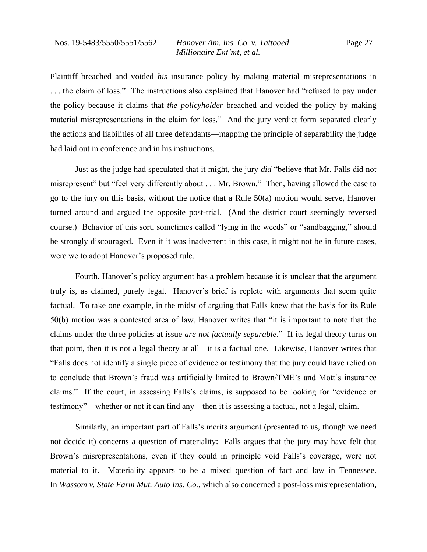Plaintiff breached and voided *his* insurance policy by making material misrepresentations in . . . the claim of loss." The instructions also explained that Hanover had "refused to pay under the policy because it claims that *the policyholder* breached and voided the policy by making material misrepresentations in the claim for loss." And the jury verdict form separated clearly the actions and liabilities of all three defendants—mapping the principle of separability the judge had laid out in conference and in his instructions.

Just as the judge had speculated that it might, the jury *did* "believe that Mr. Falls did not misrepresent" but "feel very differently about . . . Mr. Brown." Then, having allowed the case to go to the jury on this basis, without the notice that a Rule 50(a) motion would serve, Hanover turned around and argued the opposite post-trial. (And the district court seemingly reversed course.) Behavior of this sort, sometimes called "lying in the weeds" or "sandbagging," should be strongly discouraged. Even if it was inadvertent in this case, it might not be in future cases, were we to adopt Hanover's proposed rule.

Fourth, Hanover's policy argument has a problem because it is unclear that the argument truly is, as claimed, purely legal. Hanover's brief is replete with arguments that seem quite factual. To take one example, in the midst of arguing that Falls knew that the basis for its Rule 50(b) motion was a contested area of law, Hanover writes that "it is important to note that the claims under the three policies at issue *are not factually separable*." If its legal theory turns on that point, then it is not a legal theory at all—it is a factual one. Likewise, Hanover writes that "Falls does not identify a single piece of evidence or testimony that the jury could have relied on to conclude that Brown's fraud was artificially limited to Brown/TME's and Mott's insurance claims." If the court, in assessing Falls's claims, is supposed to be looking for "evidence or testimony"—whether or not it can find any—then it is assessing a factual, not a legal, claim.

Similarly, an important part of Falls's merits argument (presented to us, though we need not decide it) concerns a question of materiality: Falls argues that the jury may have felt that Brown's misrepresentations, even if they could in principle void Falls's coverage, were not material to it. Materiality appears to be a mixed question of fact and law in Tennessee. In *Wassom v. State Farm Mut. Auto Ins. Co.*, which also concerned a post-loss misrepresentation,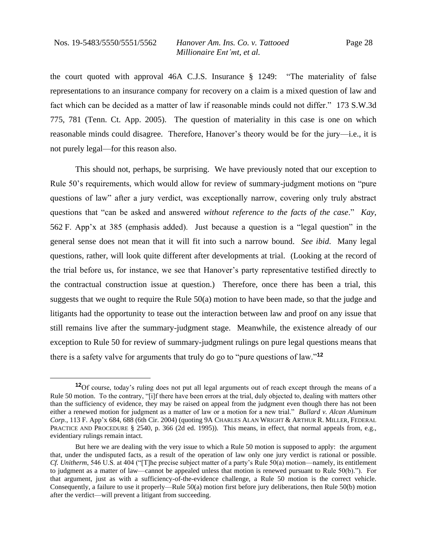the court quoted with approval 46A C.J.S. Insurance § 1249: "The materiality of false representations to an insurance company for recovery on a claim is a mixed question of law and fact which can be decided as a matter of law if reasonable minds could not differ." 173 S.W.3d 775, 781 (Tenn. Ct. App. 2005). The question of materiality in this case is one on which reasonable minds could disagree. Therefore, Hanover's theory would be for the jury—i.e., it is not purely legal—for this reason also.

This should not, perhaps, be surprising. We have previously noted that our exception to Rule 50's requirements, which would allow for review of summary-judgment motions on "pure questions of law" after a jury verdict, was exceptionally narrow, covering only truly abstract questions that "can be asked and answered *without reference to the facts of the case*." *Kay*, 562 F. App'x at 385 (emphasis added). Just because a question is a "legal question" in the general sense does not mean that it will fit into such a narrow bound. *See ibid*. Many legal questions, rather, will look quite different after developments at trial. (Looking at the record of the trial before us, for instance, we see that Hanover's party representative testified directly to the contractual construction issue at question.) Therefore, once there has been a trial, this suggests that we ought to require the Rule 50(a) motion to have been made, so that the judge and litigants had the opportunity to tease out the interaction between law and proof on any issue that still remains live after the summary-judgment stage. Meanwhile, the existence already of our exception to Rule 50 for review of summary-judgment rulings on pure legal questions means that there is a safety valve for arguments that truly do go to "pure questions of law."**<sup>12</sup>**

**<sup>12</sup>**Of course, today's ruling does not put all legal arguments out of reach except through the means of a Rule 50 motion. To the contrary, "[i]f there have been errors at the trial, duly objected to, dealing with matters other than the sufficiency of evidence, they may be raised on appeal from the judgment even though there has not been either a renewed motion for judgment as a matter of law or a motion for a new trial." *Bullard v. Alcan Aluminum Corp.*, 113 F. App'x 684, 688 (6th Cir. 2004) (quoting 9A CHARLES ALAN WRIGHT & ARTHUR R. MILLER, FEDERAL PRACTICE AND PROCEDURE § 2540, p. 366 (2d ed. 1995)). This means, in effect, that normal appeals from, e.g., evidentiary rulings remain intact.

But here we are dealing with the very issue to which a Rule 50 motion is supposed to apply: the argument that, under the undisputed facts, as a result of the operation of law only one jury verdict is rational or possible. *Cf. Unitherm*, 546 U.S. at 404 ("[T]he precise subject matter of a party's Rule 50(a) motion—namely, its entitlement to judgment as a matter of law—cannot be appealed unless that motion is renewed pursuant to Rule 50(b)."). For that argument, just as with a sufficiency-of-the-evidence challenge, a Rule 50 motion is the correct vehicle. Consequently, a failure to use it properly—Rule 50(a) motion first before jury deliberations, then Rule 50(b) motion after the verdict—will prevent a litigant from succeeding.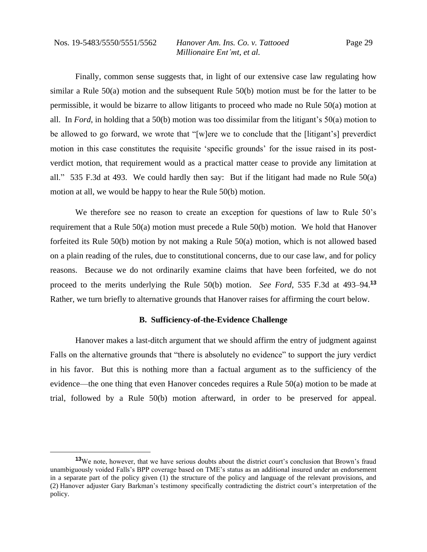Finally, common sense suggests that, in light of our extensive case law regulating how similar a Rule 50(a) motion and the subsequent Rule 50(b) motion must be for the latter to be permissible, it would be bizarre to allow litigants to proceed who made no Rule 50(a) motion at all. In *Ford*, in holding that a 50(b) motion was too dissimilar from the litigant's 50(a) motion to be allowed to go forward, we wrote that "[w]ere we to conclude that the [litigant's] preverdict motion in this case constitutes the requisite 'specific grounds' for the issue raised in its postverdict motion, that requirement would as a practical matter cease to provide any limitation at all." 535 F.3d at 493. We could hardly then say: But if the litigant had made no Rule 50(a) motion at all, we would be happy to hear the Rule 50(b) motion.

We therefore see no reason to create an exception for questions of law to Rule 50's requirement that a Rule 50(a) motion must precede a Rule 50(b) motion. We hold that Hanover forfeited its Rule 50(b) motion by not making a Rule 50(a) motion, which is not allowed based on a plain reading of the rules, due to constitutional concerns, due to our case law, and for policy reasons. Because we do not ordinarily examine claims that have been forfeited, we do not proceed to the merits underlying the Rule 50(b) motion. *See Ford*, 535 F.3d at 493–94.**<sup>13</sup>** Rather, we turn briefly to alternative grounds that Hanover raises for affirming the court below.

#### **B. Sufficiency-of-the-Evidence Challenge**

Hanover makes a last-ditch argument that we should affirm the entry of judgment against Falls on the alternative grounds that "there is absolutely no evidence" to support the jury verdict in his favor. But this is nothing more than a factual argument as to the sufficiency of the evidence—the one thing that even Hanover concedes requires a Rule 50(a) motion to be made at trial, followed by a Rule 50(b) motion afterward, in order to be preserved for appeal.

**<sup>13</sup>**We note, however, that we have serious doubts about the district court's conclusion that Brown's fraud unambiguously voided Falls's BPP coverage based on TME's status as an additional insured under an endorsement in a separate part of the policy given (1) the structure of the policy and language of the relevant provisions, and (2) Hanover adjuster Gary Barkman's testimony specifically contradicting the district court's interpretation of the policy.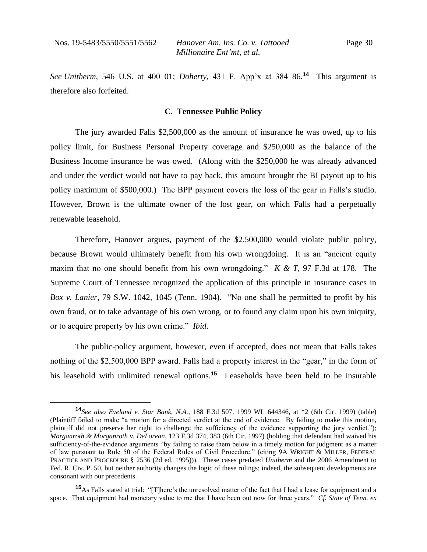*See Unitherm*, 546 U.S. at 400–01; *Doherty*, 431 F. App'x at 384–86.**<sup>14</sup>** This argument is therefore also forfeited.

#### **C. Tennessee Public Policy**

The jury awarded Falls \$2,500,000 as the amount of insurance he was owed, up to his policy limit, for Business Personal Property coverage and \$250,000 as the balance of the Business Income insurance he was owed. (Along with the \$250,000 he was already advanced and under the verdict would not have to pay back, this amount brought the BI payout up to his policy maximum of \$500,000.) The BPP payment covers the loss of the gear in Falls's studio. However, Brown is the ultimate owner of the lost gear, on which Falls had a perpetually renewable leasehold.

Therefore, Hanover argues, payment of the \$2,500,000 would violate public policy, because Brown would ultimately benefit from his own wrongdoing. It is an "ancient equity maxim that no one should benefit from his own wrongdoing." *K & T*, 97 F.3d at 178. The Supreme Court of Tennessee recognized the application of this principle in insurance cases in *Box v. Lanier*, 79 S.W. 1042, 1045 (Tenn. 1904)."No one shall be permitted to profit by his own fraud, or to take advantage of his own wrong, or to found any claim upon his own iniquity, or to acquire property by his own crime." *Ibid*.

The public-policy argument, however, even if accepted, does not mean that Falls takes nothing of the \$2,500,000 BPP award. Falls had a property interest in the "gear," in the form of his leasehold with unlimited renewal options.**<sup>15</sup>** Leaseholds have been held to be insurable

**<sup>14</sup>***See also Eveland v. Star Bank, N.A.*, 188 F.3d 507, 1999 WL 644346, at \*2 (6th Cir. 1999) (table) (Plaintiff failed to make "a motion for a directed verdict at the end of evidence. By failing to make this motion, plaintiff did not preserve her right to challenge the sufficiency of the evidence supporting the jury verdict."); *Morganroth & Morganroth v. DeLorean*, 123 F.3d 374, 383 (6th Cir. 1997) (holding that defendant had waived his sufficiency-of-the-evidence arguments "by failing to raise them below in a timely motion for judgment as a matter of law pursuant to Rule 50 of the Federal Rules of Civil Procedure." (citing 9A WRIGHT & MILLER, FEDERAL PRACTICE AND PROCEDURE § 2536 (2d ed. 1995))). These cases predated *Unitherm* and the 2006 Amendment to Fed. R. Civ. P. 50, but neither authority changes the logic of these rulings; indeed, the subsequent developments are consonant with our precedents.

**<sup>15</sup>**As Falls stated at trial: "[T]here's the unresolved matter of the fact that I had a lease for equipment and a space. That equipment had monetary value to me that I have been out now for three years." *Cf. State of Tenn. ex*